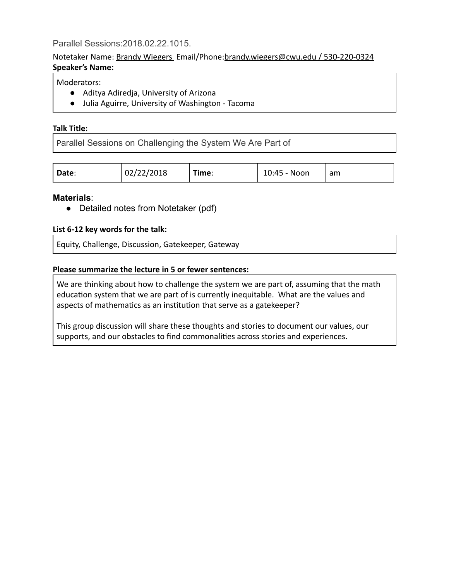## Parallel Sessions:2018.02.22.1015.

#### Notetaker Name: Brandy Wiegers Email/Phone: brandy.wiegers@cwu.edu / 530‑220‑0324 **Speaker's Name:**

## Moderators:

- Aditya Adiredja, University of Arizona
- Julia Aguirre, University of Washington ‑ Tacoma

#### **Talk Title:**

Parallel Sessions on Challenging the System We Are Part of

| Date: | 02/22/2018 | --<br>. ime: | 10:45 - Noon | am |
|-------|------------|--------------|--------------|----|
|-------|------------|--------------|--------------|----|

## **Materials** :

● Detailed notes from Notetaker (pdf)

#### **List 6‑12 key words for the talk:**

Equity, Challenge, Discussion, Gatekeeper, Gateway

#### **Please summarize the lecture in 5 or fewer sentences:**

We are thinking about how to challenge the system we are part of, assuming that the math education system that we are part of is currently inequitable. What are the values and aspects of mathematics as an institution that serve as a gatekeeper?

This group discussion will share these thoughts and stories to document our values, our supports, and our obstacles to find commonalities across stories and experiences.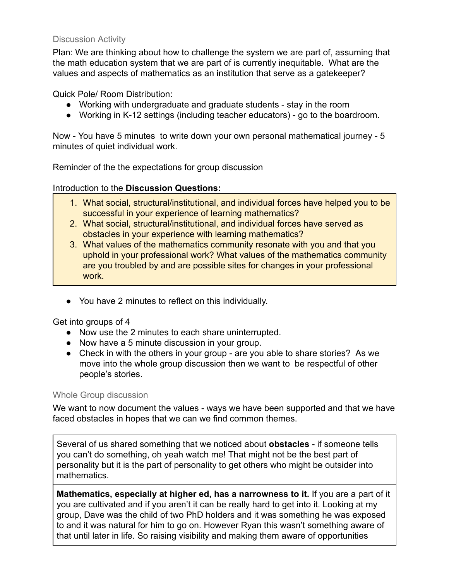# Discussion Activity

Plan: We are thinking about how to challenge the system we are part of, assuming that the math education system that we are part of is currently inequitable. What are the values and aspects of mathematics as an institution that serve as a gatekeeper?

Quick Pole/ Room Distribution:

- Working with undergraduate and graduate students stay in the room
- Working in K-12 settings (including teacher educators) go to the boardroom.

Now - You have 5 minutes to write down your own personal mathematical journey - 5 minutes of quiet individual work.

Reminder of the the expectations for group discussion

## Introduction to the **Discussion Questions:**

- 1. What social, structural/institutional, and individual forces have helped you to be successful in your experience of learning mathematics?
- 2. What social, structural/institutional, and individual forces have served as obstacles in your experience with learning mathematics?
- 3. What values of the mathematics community resonate with you and that you uphold in your professional work? What values of the mathematics community are you troubled by and are possible sites for changes in your professional work.
- You have 2 minutes to reflect on this individually.

Get into groups of 4

- Now use the 2 minutes to each share uninterrupted.
- Now have a 5 minute discussion in your group.
- Check in with the others in your group are you able to share stories? As we move into the whole group discussion then we want to be respectful of other people's stories.

## Whole Group discussion

We want to now document the values - ways we have been supported and that we have faced obstacles in hopes that we can we find common themes.

Several of us shared something that we noticed about **obstacles**  if someone tells you can't do something, oh yeah watch me! That might not be the best part of personality but it is the part of personality to get others who might be outsider into mathematics.

**Mathematics, especially at higher ed, has a narrowness to it. If you are a part of it** you are cultivated and if you aren't it can be really hard to get into it. Looking at my group, Dave was the child of two PhD holders and it was something he was exposed to and it was natural for him to go on. However Ryan this wasn't something aware of that until later in life. So raising visibility and making them aware of opportunities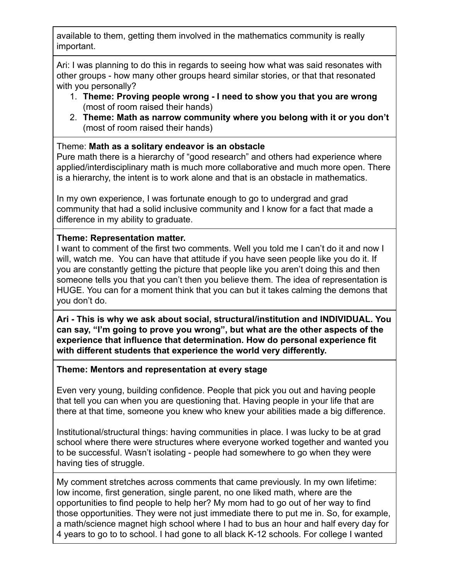available to them, getting them involved in the mathematics community is really important.

Ari: I was planning to do this in regards to seeing how what was said resonates with other groups - how many other groups heard similar stories, or that that resonated with you personally?

- 1. **Theme: Proving people wrong I need to show you that you are wrong** (most of room raised their hands)
- 2. **Theme: Math as narrow community where you belong with it or you don't** (most of room raised their hands)

# Theme: **Math as a solitary endeavor is an obstacle**

Pure math there is a hierarchy of "good research" and others had experience where applied/interdisciplinary math is much more collaborative and much more open. There is a hierarchy, the intent is to work alone and that is an obstacle in mathematics.

In my own experience, I was fortunate enough to go to undergrad and grad community that had a solid inclusive community and I know for a fact that made a difference in my ability to graduate.

# **Theme: Representation matter.**

I want to comment of the first two comments. Well you told me I can't do it and now I will, watch me. You can have that attitude if you have seen people like you do it. If you are constantly getting the picture that people like you aren't doing this and then someone tells you that you can't then you believe them. The idea of representation is HUGE. You can for a moment think that you can but it takes calming the demons that you don't do.

**Ari This is why we ask about social, structural/institution and INDIVIDUAL. You can say, "I'm going to prove you wrong", but what are the other aspects of the experience that influence that determination. How do personal experience fit with different students that experience the world very differently.**

## **Theme: Mentors and representation at every stage**

Even very young, building confidence. People that pick you out and having people that tell you can when you are questioning that. Having people in your life that are there at that time, someone you knew who knew your abilities made a big difference.

Institutional/structural things: having communities in place. I was lucky to be at grad school where there were structures where everyone worked together and wanted you to be successful. Wasn't isolating - people had somewhere to go when they were having ties of struggle.

My comment stretches across comments that came previously. In my own lifetime: low income, first generation, single parent, no one liked math, where are the opportunities to find people to help her? My mom had to go out of her way to find those opportunities. They were not just immediate there to put me in. So, for example, a math/science magnet high school where I had to bus an hour and half every day for 4 years to go to to school. I had gone to all black K-12 schools. For college I wanted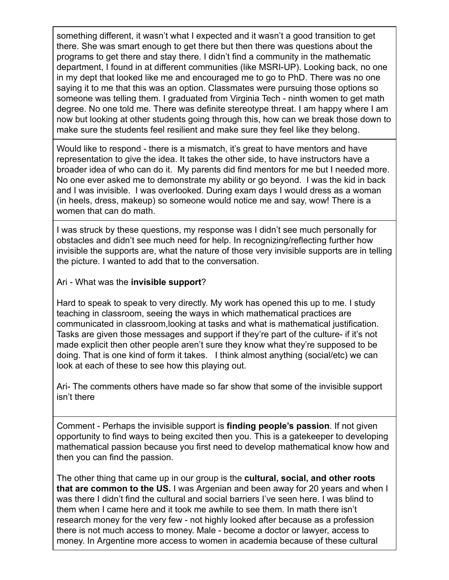something different, it wasn't what I expected and it wasn't a good transition to get there. She was smart enough to get there but then there was questions about the programs to get there and stay there. I didn't find a community in the mathematic department, I found in at different communities (like MSRI-UP). Looking back, no one in my dept that looked like me and encouraged me to go to PhD. There was no one saying it to me that this was an option. Classmates were pursuing those options so someone was telling them. I graduated from Virginia Tech - ninth women to get math degree. No one told me. There was definite stereotype threat. I am happy where I am now but looking at other students going through this, how can we break those down to make sure the students feel resilient and make sure they feel like they belong.

Would like to respond - there is a mismatch, it's great to have mentors and have representation to give the idea. It takes the other side, to have instructors have a broader idea of who can do it. My parents did find mentors for me but I needed more. No one ever asked me to demonstrate my ability or go beyond. I was the kid in back and I was invisible. I was overlooked. During exam days I would dress as a woman (in heels, dress, makeup) so someone would notice me and say, wow! There is a women that can do math.

I was struck by these questions, my response was I didn't see much personally for obstacles and didn't see much need for help. In recognizing/reflecting further how invisible the supports are, what the nature of those very invisible supports are in telling the picture. I wanted to add that to the conversation.

## Ari - What was the **invisible support**?

Hard to speak to speak to very directly. My work has opened this up to me. I study teaching in classroom, seeing the ways in which mathematical practices are communicated in classroom,looking at tasks and what is mathematical justification. Tasks are given those messages and support if they're part of the culture- if it's not made explicit then other people aren't sure they know what they're supposed to be doing. That is one kind of form it takes. I think almost anything (social/etc) we can look at each of these to see how this playing out.

Ari- The comments others have made so far show that some of the invisible support isn't there

Comment Perhaps the invisible support is **finding people's passion** . If not given opportunity to find ways to being excited then you. This is a gatekeeper to developing mathematical passion because you first need to develop mathematical know how and then you can find the passion.

The other thing that came up in our group is the **cultural, social, and other roots that are common to the US.** I was Argenian and been away for 20 years and when I was there I didn't find the cultural and social barriers I've seen here. I was blind to them when I came here and it took me awhile to see them. In math there isn't research money for the very few - not highly looked after because as a profession there is not much access to money. Male become a doctor or lawyer, access to money. In Argentine more access to women in academia because of these cultural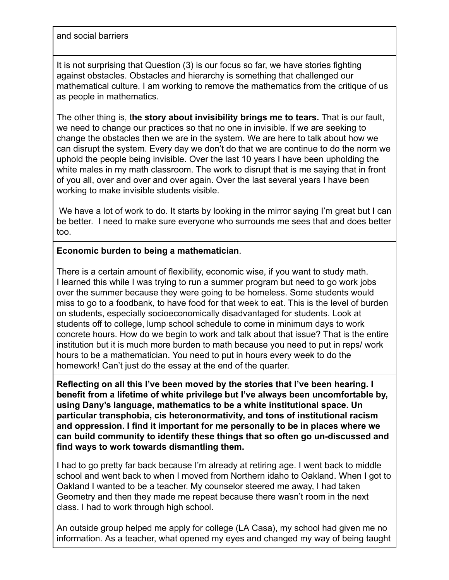and social barriers

It is not surprising that Question (3) is our focus so far, we have stories fighting against obstacles. Obstacles and hierarchy is something that challenged our mathematical culture. I am working to remove the mathematics from the critique of us as people in mathematics.

The other thing is, the story about invisibility brings me to tears. That is our fault, we need to change our practices so that no one in invisible. If we are seeking to change the obstacles then we are in the system. We are here to talk about how we can disrupt the system. Every day we don't do that we are continue to do the norm we uphold the people being invisible. Over the last 10 years I have been upholding the white males in my math classroom. The work to disrupt that is me saying that in front of you all, over and over and over again. Over the last several years I have been working to make invisible students visible.

We have a lot of work to do. It starts by looking in the mirror saying I'm great but I can be better. I need to make sure everyone who surrounds me sees that and does better too.

# **Economic burden to being a mathematician** .

There is a certain amount of flexibility, economic wise, if you want to study math. I learned this while I was trying to run a summer program but need to go work jobs over the summer because they were going to be homeless. Some students would miss to go to a foodbank, to have food for that week to eat. This is the level of burden on students, especially socioeconomically disadvantaged for students. Look at students off to college, lump school schedule to come in minimum days to work concrete hours. How do we begin to work and talk about that issue? That is the entire institution but it is much more burden to math because you need to put in reps/ work hours to be a mathematician. You need to put in hours every week to do the homework! Can't just do the essay at the end of the quarter.

**Reflecting on all this I've been moved by the stories that I've been hearing. I benefit from a lifetime of white privilege but I've always been uncomfortable by, using Dany's language, mathematics to be a white institutional space. Un particular transphobia, cis heteronormativity, and tons of institutional racism and oppression. I find it important for me personally to be in places where we** can build community to identify these things that so often go un-discussed and **find ways to work towards dismantling them.**

I had to go pretty far back because I'm already at retiring age. I went back to middle school and went back to when I moved from Northern idaho to Oakland. When I got to Oakland I wanted to be a teacher. My counselor steered me away, I had taken Geometry and then they made me repeat because there wasn't room in the next class. I had to work through high school.

An outside group helped me apply for college (LA Casa), my school had given me no information. As a teacher, what opened my eyes and changed my way of being taught